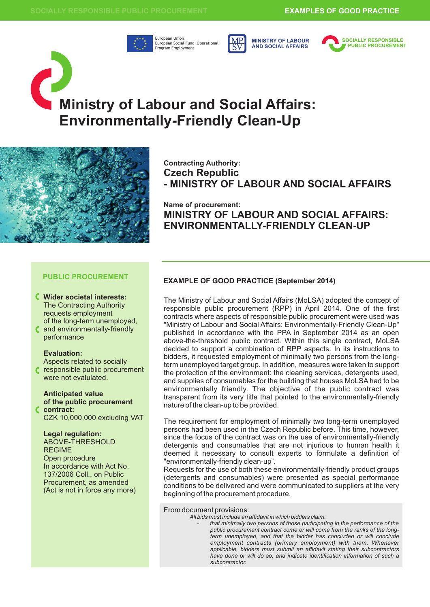

European Union European Social Fund Operational Program Employment



**MINISTRY OF LABOUR AND SOCIAL AFFAIRS**



# **Ministry of Labour and Social Affairs: Environmentally-Friendly Clean-Up**



**Contracting Authority: Czech Republic - MINISTRY OF LABOUR AND SOCIAL AFFAIRS**

**Name of procurement: MINISTRY OF LABOUR AND SOCIAL AFFAIRS: ENVIRONMENTALLY-FRIENDLY CLEAN-UP**

## **PUBLIC PROCUREMENT**

- **Wider societal interests:** The Contracting Authority requests employment of the long-term unemployed,
- and environmentally-friendly performance

## **Evaluation:**

- Aspects related to socially responsible public procurement
- were not evalulated.

## **Anticipated value of the public procurement contract:**

CZK 10,000,000 excluding VAT

## **Legal regulation:**

ABOVE-THRESHOLD REGIME Open procedure In accordance with Act No. 137/2006 Coll., on Public Procurement, as amended (Act is not in force any more)

## **EXAMPLE OF GOOD PRACTICE (September 2014)**

The Ministry of Labour and Social Affairs (MoLSA) adopted the concept of responsible public procurement (RPP) in April 2014. One of the first contracts where aspects of responsible public procurement were used was "Ministry of Labour and Social Affairs: Environmentally-Friendly Clean-Up" published in accordance with the PPA in September 2014 as an open above-the-threshold public contract. Within this single contract, MoLSA decided to support a combination of RPP aspects. In its instructions to bidders, it requested employment of minimally two persons from the longterm unemployed target group. In addition, measures were taken to support the protection of the environment: the cleaning services, detergents used, and supplies of consumables for the building that houses MoLSA had to be environmentally friendly. The objective of the public contract was transparent from its very title that pointed to the environmentally-friendly nature of the clean-up to be provided.

The requirement for employment of minimally two long-term unemployed persons had been used in the Czech Republic before. This time, however, since the focus of the contract was on the use of environmentally-friendly detergents and consumables that are not injurious to human health it deemed it necessary to consult experts to formulate a definition of "environmentally-friendly clean-up".

Requests for the use of both these environmentally-friendly product groups (detergents and consumables) were presented as special performance conditions to be delivered and were communicated to suppliers at the very beginning of the procurement procedure.

From document provisions:

*All bids must include an affidavit in which bidders claim:* 

- *that minimally two persons of those participating in the performance of the public procurement contract come or will come from the ranks of the longterm unemployed, and that the bidder has concluded or will conclude employment contracts (primary employment) with them. Whenever applicable, bidders must submit an affidavit stating their subcontractors have done or will do so, and indicate identification information of such a subcontractor.*